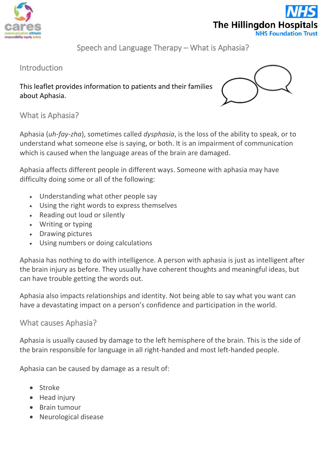



Speech and Language Therapy – What is Aphasia?

## Introduction

This leaflet provides information to patients and their families about Aphasia.



What is Aphasia?

Aphasia (*uh-fay-zha*), sometimes called *dysphasia*, is the loss of the ability to speak, or to understand what someone else is saying, or both. It is an impairment of communication which is caused when the language areas of the brain are damaged.

Aphasia affects different people in different ways. Someone with aphasia may have difficulty doing some or all of the following:

- Understanding what other people say
- Using the right words to express themselves
- Reading out loud or silently
- Writing or typing
- Drawing pictures
- Using numbers or doing calculations

Aphasia has nothing to do with intelligence. A person with aphasia is just as intelligent after the brain injury as before. They usually have coherent thoughts and meaningful ideas, but can have trouble getting the words out.

Aphasia also impacts relationships and identity. Not being able to say what you want can have a devastating impact on a person's confidence and participation in the world.

### What causes Aphasia?

Aphasia is usually caused by damage to the left hemisphere of the brain. This is the side of the brain responsible for language in all right-handed and most left-handed people.

Aphasia can be caused by damage as a result of:

- Stroke
- Head injury
- Brain tumour
- Neurological disease